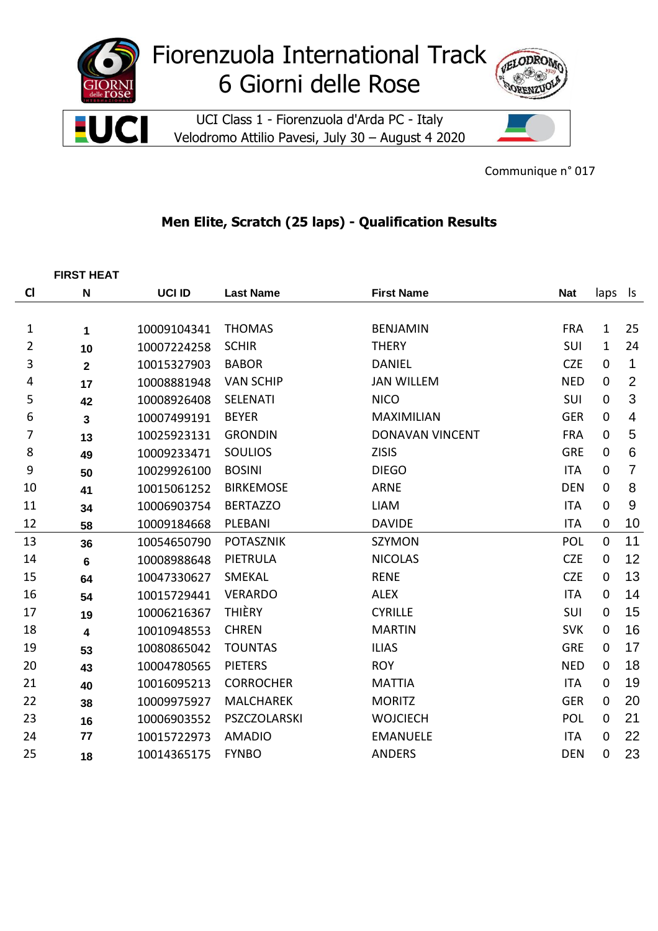

Communique n° 017

## **Men Elite, Scratch (25 laps) - Qualification Results**

|                | <b>FIRST HEAT</b>       |             |                  |                        |            |              |                |
|----------------|-------------------------|-------------|------------------|------------------------|------------|--------------|----------------|
| $\mathsf{C}$   | $\mathsf{N}$            | UCI ID      | <b>Last Name</b> | <b>First Name</b>      | <b>Nat</b> | laps         | ls             |
|                |                         |             |                  |                        |            |              |                |
| 1              | 1                       | 10009104341 | <b>THOMAS</b>    | <b>BENJAMIN</b>        | <b>FRA</b> | $\mathbf{1}$ | 25             |
| 2              | 10                      | 10007224258 | <b>SCHIR</b>     | <b>THERY</b>           | SUI        | 1            | 24             |
| 3              | $\mathbf{2}$            | 10015327903 | <b>BABOR</b>     | <b>DANIEL</b>          | <b>CZE</b> | $\mathbf 0$  | 1              |
| 4              | 17                      | 10008881948 | <b>VAN SCHIP</b> | <b>JAN WILLEM</b>      | <b>NED</b> | $\mathbf 0$  | $\overline{2}$ |
| 5              | 42                      | 10008926408 | SELENATI         | <b>NICO</b>            | SUI        | $\mathbf 0$  | 3              |
| 6              | 3                       | 10007499191 | <b>BEYER</b>     | <b>MAXIMILIAN</b>      | <b>GER</b> | $\mathbf 0$  | $\overline{4}$ |
| $\overline{7}$ | 13                      | 10025923131 | <b>GRONDIN</b>   | <b>DONAVAN VINCENT</b> | <b>FRA</b> | $\mathbf 0$  | $\overline{5}$ |
| 8              | 49                      | 10009233471 | <b>SOULIOS</b>   | <b>ZISIS</b>           | <b>GRE</b> | $\mathbf 0$  | $\,6$          |
| 9              | 50                      | 10029926100 | <b>BOSINI</b>    | <b>DIEGO</b>           | <b>ITA</b> | 0            | $\overline{7}$ |
| 10             | 41                      | 10015061252 | <b>BIRKEMOSE</b> | <b>ARNE</b>            | <b>DEN</b> | $\mathbf 0$  | 8              |
| 11             | 34                      | 10006903754 | <b>BERTAZZO</b>  | <b>LIAM</b>            | <b>ITA</b> | $\mathbf 0$  | 9              |
| 12             | 58                      | 10009184668 | PLEBANI          | <b>DAVIDE</b>          | <b>ITA</b> | $\mathbf 0$  | 10             |
| 13             | 36                      | 10054650790 | <b>POTASZNIK</b> | SZYMON                 | <b>POL</b> | $\mathbf 0$  | 11             |
| 14             | $6\phantom{1}6$         | 10008988648 | PIETRULA         | <b>NICOLAS</b>         | <b>CZE</b> | $\mathbf 0$  | 12             |
| 15             | 64                      | 10047330627 | <b>SMEKAL</b>    | <b>RENE</b>            | <b>CZE</b> | $\mathbf 0$  | 13             |
| 16             | 54                      | 10015729441 | <b>VERARDO</b>   | <b>ALEX</b>            | <b>ITA</b> | $\mathbf 0$  | 14             |
| 17             | 19                      | 10006216367 | <b>THIÈRY</b>    | <b>CYRILLE</b>         | SUI        | $\mathbf 0$  | 15             |
| 18             | $\overline{\mathbf{4}}$ | 10010948553 | <b>CHREN</b>     | <b>MARTIN</b>          | <b>SVK</b> | $\mathbf 0$  | 16             |
| 19             | 53                      | 10080865042 | <b>TOUNTAS</b>   | <b>ILIAS</b>           | <b>GRE</b> | $\mathbf 0$  | 17             |
| 20             | 43                      | 10004780565 | <b>PIETERS</b>   | <b>ROY</b>             | <b>NED</b> | $\mathbf 0$  | 18             |
| 21             | 40                      | 10016095213 | <b>CORROCHER</b> | <b>MATTIA</b>          | <b>ITA</b> | $\mathbf 0$  | 19             |
| 22             | 38                      | 10009975927 | <b>MALCHAREK</b> | <b>MORITZ</b>          | <b>GER</b> | $\mathbf 0$  | 20             |
| 23             | 16                      | 10006903552 | PSZCZOLARSKI     | <b>WOJCIECH</b>        | POL        | $\mathbf 0$  | 21             |
| 24             | 77                      | 10015722973 | <b>AMADIO</b>    | <b>EMANUELE</b>        | <b>ITA</b> | $\mathbf 0$  | 22             |
| 25             | 18                      | 10014365175 | <b>FYNBO</b>     | <b>ANDERS</b>          | <b>DEN</b> | $\mathbf 0$  | 23             |